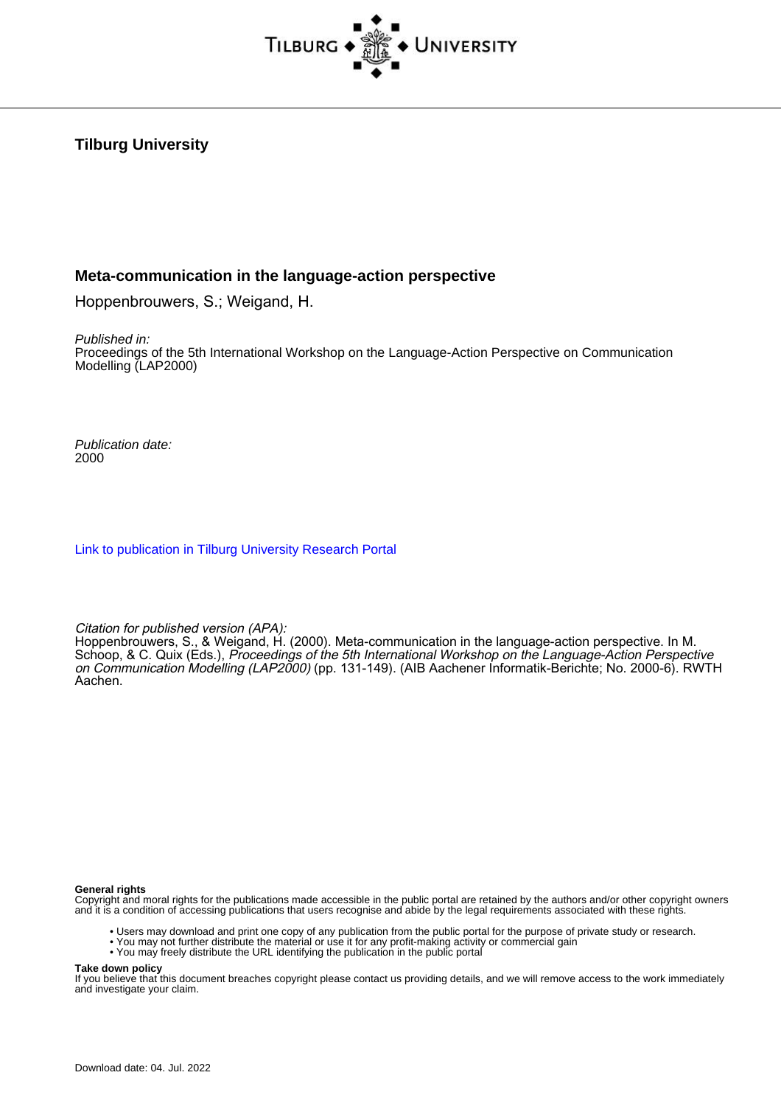

# **Tilburg University**

## **Meta-communication in the language-action perspective**

Hoppenbrouwers, S.; Weigand, H.

Published in:

Proceedings of the 5th International Workshop on the Language-Action Perspective on Communication Modelling (LAP2000)

Publication date: 2000

[Link to publication in Tilburg University Research Portal](https://research.tilburguniversity.edu/en/publications/e8825fc0-0aa7-4eaa-b575-e5641515bdb9)

Citation for published version (APA):

Hoppenbrouwers, S., & Weigand, H. (2000). Meta-communication in the language-action perspective. In M. Schoop, & C. Quix (Eds.), Proceedings of the 5th International Workshop on the Language-Action Perspective on Communication Modelling (LAP2000) (pp. 131-149). (AIB Aachener Informatik-Berichte; No. 2000-6). RWTH Aachen.

**General rights**

Copyright and moral rights for the publications made accessible in the public portal are retained by the authors and/or other copyright owners and it is a condition of accessing publications that users recognise and abide by the legal requirements associated with these rights.

- Users may download and print one copy of any publication from the public portal for the purpose of private study or research.
- You may not further distribute the material or use it for any profit-making activity or commercial gain
- You may freely distribute the URL identifying the publication in the public portal

**Take down policy**

If you believe that this document breaches copyright please contact us providing details, and we will remove access to the work immediately and investigate your claim.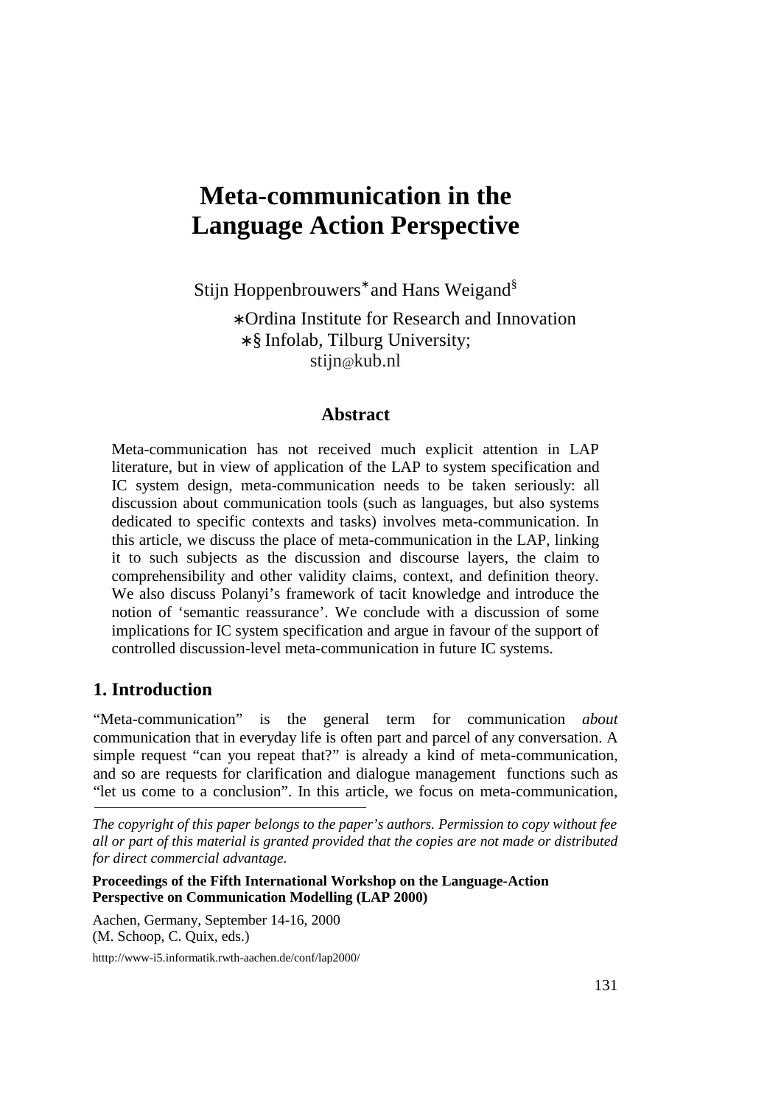# **Meta-communication in the Language Action Perspective**

Stijn Hoppenbrouwers<sup>\*</sup> and Hans Weigand<sup>§</sup>

∗ Ordina Institute for Research and Innovation ∗ § Infolab, Tilburg University; stijn@kub.nl

## **Abstract**

Meta-communication has not received much explicit attention in LAP literature, but in view of application of the LAP to system specification and IC system design, meta-communication needs to be taken seriously: all discussion about communication tools (such as languages, but also systems dedicated to specific contexts and tasks) involves meta-communication. In this article, we discuss the place of meta-communication in the LAP, linking it to such subjects as the discussion and discourse layers, the claim to comprehensibility and other validity claims, context, and definition theory. We also discuss Polanyi's framework of tacit knowledge and introduce the notion of 'semantic reassurance'. We conclude with a discussion of some implications for IC system specification and argue in favour of the support of controlled discussion-level meta-communication in future IC systems.

# **1. Introduction**

"Meta-communication" is the general term for communication *about* communication that in everyday life is often part and parcel of any conversation. A simple request "can you repeat that?" is already a kind of meta-communication, and so are requests for clarification and dialogue management functions such as "let us come to a conclusion". In this article, we focus on meta-communication,

**Proceedings of the Fifth International Workshop on the Language-Action Perspective on Communication Modelling (LAP 2000)** 

Aachen, Germany, September 14-16, 2000 (M. Schoop, C. Quix, eds.)

htttp://www-i5.informatik.rwth-aachen.de/conf/lap2000/

*The copyright of this paper belongs to the paper's authors. Permission to copy without fee all or part of this material is granted provided that the copies are not made or distributed for direct commercial advantage.*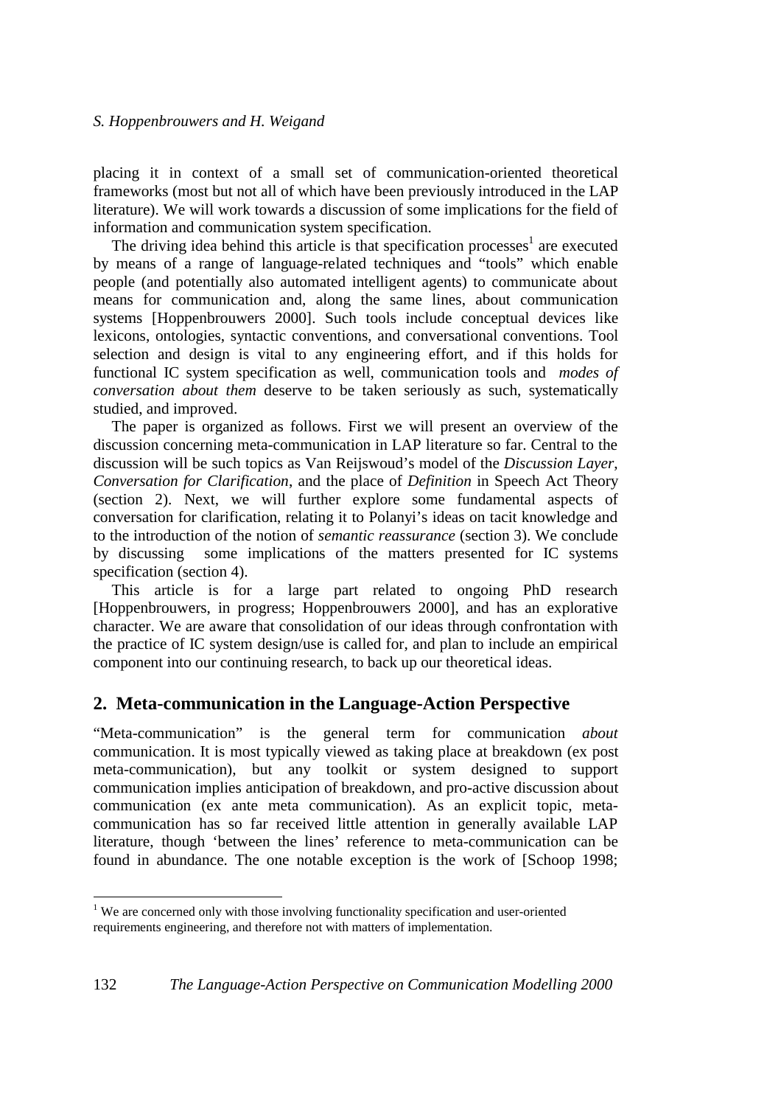placing it in context of a small set of communication-oriented theoretical frameworks (most but not all of which have been previously introduced in the LAP literature). We will work towards a discussion of some implications for the field of information and communication system specification.

The driving idea behind this article is that specification processes<sup>1</sup> are executed by means of a range of language-related techniques and "tools" which enable people (and potentially also automated intelligent agents) to communicate about means for communication and, along the same lines, about communication systems [Hoppenbrouwers 2000]. Such tools include conceptual devices like lexicons, ontologies, syntactic conventions, and conversational conventions. Tool selection and design is vital to any engineering effort, and if this holds for functional IC system specification as well, communication tools and *modes of conversation about them* deserve to be taken seriously as such, systematically studied, and improved.

The paper is organized as follows. First we will present an overview of the discussion concerning meta-communication in LAP literature so far. Central to the discussion will be such topics as Van Reijswoud's model of the *Discussion Layer*, *Conversation for Clarification*, and the place of *Definition* in Speech Act Theory (section 2). Next, we will further explore some fundamental aspects of conversation for clarification, relating it to Polanyi's ideas on tacit knowledge and to the introduction of the notion of *semantic reassurance* (section 3). We conclude by discussing some implications of the matters presented for IC systems specification (section 4).

This article is for a large part related to ongoing PhD research [Hoppenbrouwers, in progress; Hoppenbrouwers 2000], and has an explorative character. We are aware that consolidation of our ideas through confrontation with the practice of IC system design/use is called for, and plan to include an empirical component into our continuing research, to back up our theoretical ideas.

# **2. Meta-communication in the Language-Action Perspective**

"Meta-communication" is the general term for communication *about* communication. It is most typically viewed as taking place at breakdown (ex post meta-communication), but any toolkit or system designed to support communication implies anticipation of breakdown, and pro-active discussion about communication (ex ante meta communication). As an explicit topic, metacommunication has so far received little attention in generally available LAP literature, though 'between the lines' reference to meta-communication can be found in abundance. The one notable exception is the work of [Schoop 1998;

 $\overline{a}$ 

<sup>&</sup>lt;sup>1</sup> We are concerned only with those involving functionality specification and user-oriented requirements engineering, and therefore not with matters of implementation.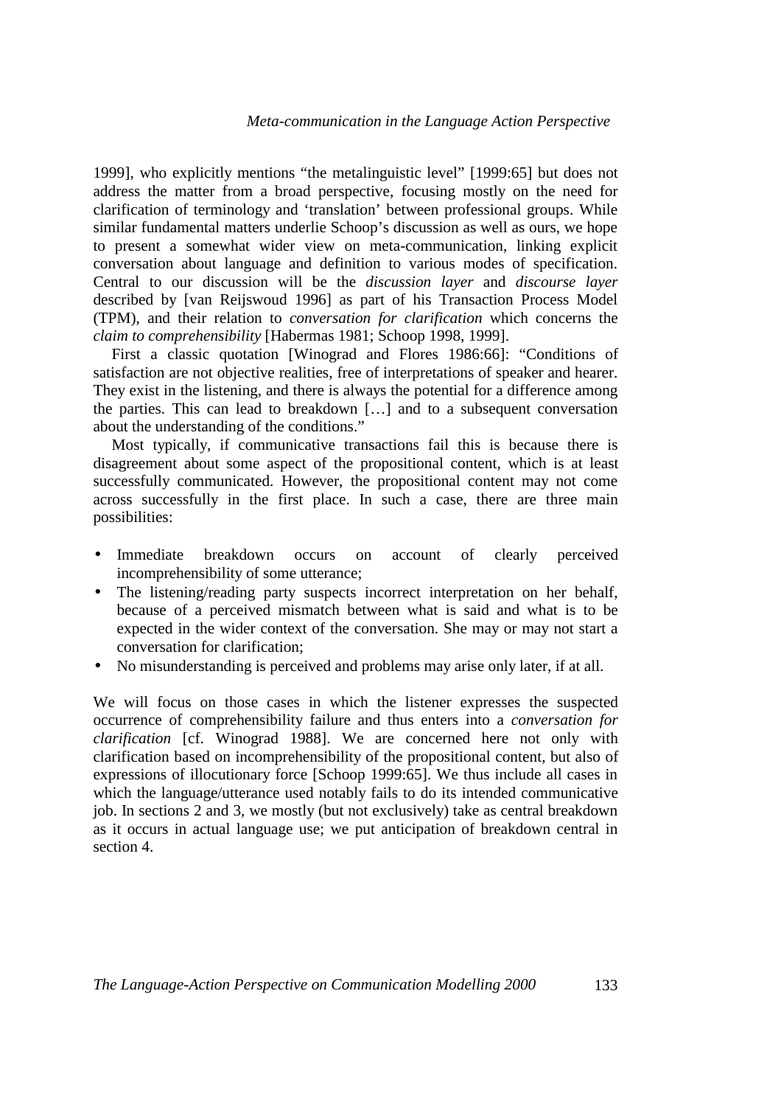1999], who explicitly mentions "the metalinguistic level" [1999:65] but does not address the matter from a broad perspective, focusing mostly on the need for clarification of terminology and 'translation' between professional groups. While similar fundamental matters underlie Schoop's discussion as well as ours, we hope to present a somewhat wider view on meta-communication, linking explicit conversation about language and definition to various modes of specification. Central to our discussion will be the *discussion layer* and *discourse layer* described by [van Reijswoud 1996] as part of his Transaction Process Model (TPM), and their relation to *conversation for clarification* which concerns the *claim to comprehensibility* [Habermas 1981; Schoop 1998, 1999].

First a classic quotation [Winograd and Flores 1986:66]: "Conditions of satisfaction are not objective realities, free of interpretations of speaker and hearer. They exist in the listening, and there is always the potential for a difference among the parties. This can lead to breakdown […] and to a subsequent conversation about the understanding of the conditions."

Most typically, if communicative transactions fail this is because there is disagreement about some aspect of the propositional content, which is at least successfully communicated. However, the propositional content may not come across successfully in the first place. In such a case, there are three main possibilities:

- Immediate breakdown occurs on account of clearly perceived incomprehensibility of some utterance;
- The listening/reading party suspects incorrect interpretation on her behalf, because of a perceived mismatch between what is said and what is to be expected in the wider context of the conversation. She may or may not start a conversation for clarification;
- No misunderstanding is perceived and problems may arise only later, if at all.

We will focus on those cases in which the listener expresses the suspected occurrence of comprehensibility failure and thus enters into a *conversation for clarification* [cf. Winograd 1988]. We are concerned here not only with clarification based on incomprehensibility of the propositional content, but also of expressions of illocutionary force [Schoop 1999:65]. We thus include all cases in which the language/utterance used notably fails to do its intended communicative job. In sections 2 and 3, we mostly (but not exclusively) take as central breakdown as it occurs in actual language use; we put anticipation of breakdown central in section 4.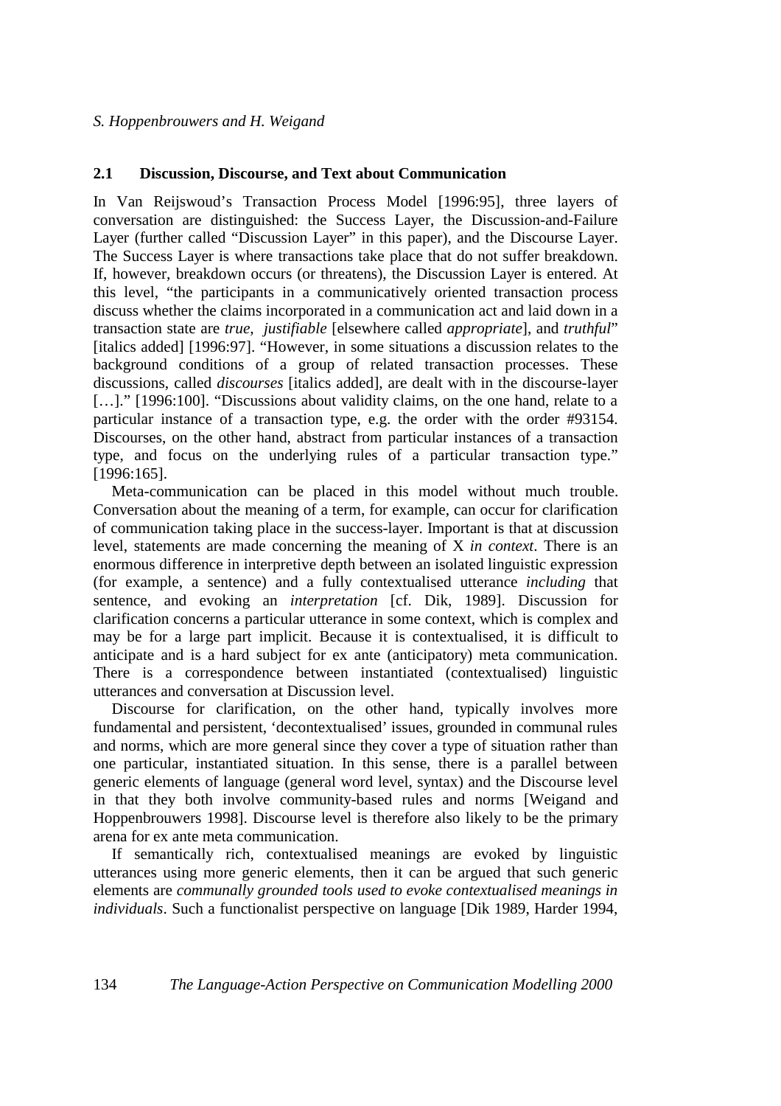## **2.1 Discussion, Discourse, and Text about Communication**

In Van Reijswoud's Transaction Process Model [1996:95], three layers of conversation are distinguished: the Success Layer, the Discussion-and-Failure Layer (further called "Discussion Layer" in this paper), and the Discourse Layer. The Success Layer is where transactions take place that do not suffer breakdown. If, however, breakdown occurs (or threatens), the Discussion Layer is entered. At this level, "the participants in a communicatively oriented transaction process discuss whether the claims incorporated in a communication act and laid down in a transaction state are *true*, *justifiable* [elsewhere called *appropriate*], and *truthful*" [italics added] [1996:97]. "However, in some situations a discussion relates to the background conditions of a group of related transaction processes. These discussions, called *discourses* [italics added], are dealt with in the discourse-layer [...]." [1996:100]. "Discussions about validity claims, on the one hand, relate to a particular instance of a transaction type, e.g. the order with the order #93154. Discourses, on the other hand, abstract from particular instances of a transaction type, and focus on the underlying rules of a particular transaction type." [1996:165].

Meta-communication can be placed in this model without much trouble. Conversation about the meaning of a term, for example, can occur for clarification of communication taking place in the success-layer. Important is that at discussion level, statements are made concerning the meaning of X *in context*. There is an enormous difference in interpretive depth between an isolated linguistic expression (for example, a sentence) and a fully contextualised utterance *including* that sentence, and evoking an *interpretation* [cf. Dik, 1989]. Discussion for clarification concerns a particular utterance in some context, which is complex and may be for a large part implicit. Because it is contextualised, it is difficult to anticipate and is a hard subject for ex ante (anticipatory) meta communication. There is a correspondence between instantiated (contextualised) linguistic utterances and conversation at Discussion level.

Discourse for clarification, on the other hand, typically involves more fundamental and persistent, 'decontextualised' issues, grounded in communal rules and norms, which are more general since they cover a type of situation rather than one particular, instantiated situation. In this sense, there is a parallel between generic elements of language (general word level, syntax) and the Discourse level in that they both involve community-based rules and norms [Weigand and Hoppenbrouwers 1998]. Discourse level is therefore also likely to be the primary arena for ex ante meta communication.

If semantically rich, contextualised meanings are evoked by linguistic utterances using more generic elements, then it can be argued that such generic elements are *communally grounded tools used to evoke contextualised meanings in individuals*. Such a functionalist perspective on language [Dik 1989, Harder 1994,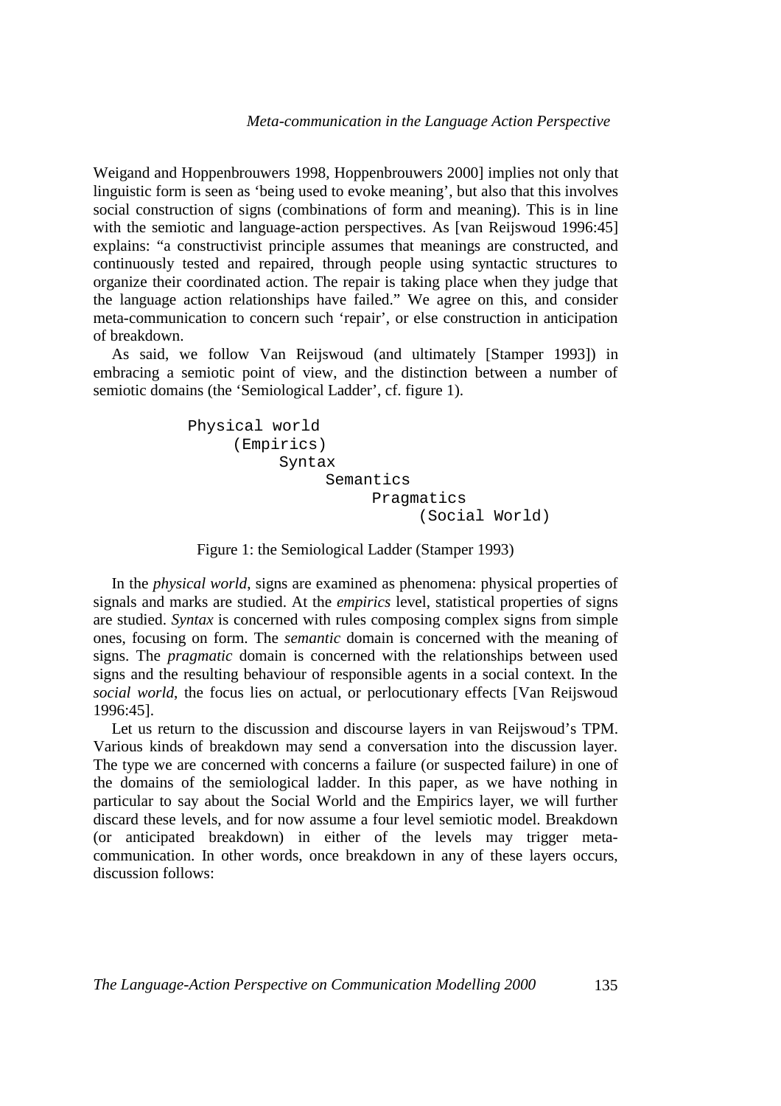Weigand and Hoppenbrouwers 1998, Hoppenbrouwers 2000] implies not only that linguistic form is seen as 'being used to evoke meaning', but also that this involves social construction of signs (combinations of form and meaning). This is in line with the semiotic and language-action perspectives. As [van Reijswoud 1996:45] explains: "a constructivist principle assumes that meanings are constructed, and continuously tested and repaired, through people using syntactic structures to organize their coordinated action. The repair is taking place when they judge that the language action relationships have failed." We agree on this, and consider meta-communication to concern such 'repair', or else construction in anticipation of breakdown.

As said, we follow Van Reijswoud (and ultimately [Stamper 1993]) in embracing a semiotic point of view, and the distinction between a number of semiotic domains (the 'Semiological Ladder', cf. figure 1).

```
Physical world 
       (Empirics) 
            Syntax 
                  Semantics 
                        Pragmatics 
                              (Social World)
```
## Figure 1: the Semiological Ladder (Stamper 1993)

In the *physical world*, signs are examined as phenomena: physical properties of signals and marks are studied. At the *empirics* level, statistical properties of signs are studied. *Syntax* is concerned with rules composing complex signs from simple ones, focusing on form. The *semantic* domain is concerned with the meaning of signs. The *pragmatic* domain is concerned with the relationships between used signs and the resulting behaviour of responsible agents in a social context. In the *social world*, the focus lies on actual, or perlocutionary effects [Van Reijswoud 1996:45].

Let us return to the discussion and discourse layers in van Reijswoud's TPM. Various kinds of breakdown may send a conversation into the discussion layer. The type we are concerned with concerns a failure (or suspected failure) in one of the domains of the semiological ladder. In this paper, as we have nothing in particular to say about the Social World and the Empirics layer, we will further discard these levels, and for now assume a four level semiotic model. Breakdown (or anticipated breakdown) in either of the levels may trigger metacommunication. In other words, once breakdown in any of these layers occurs, discussion follows: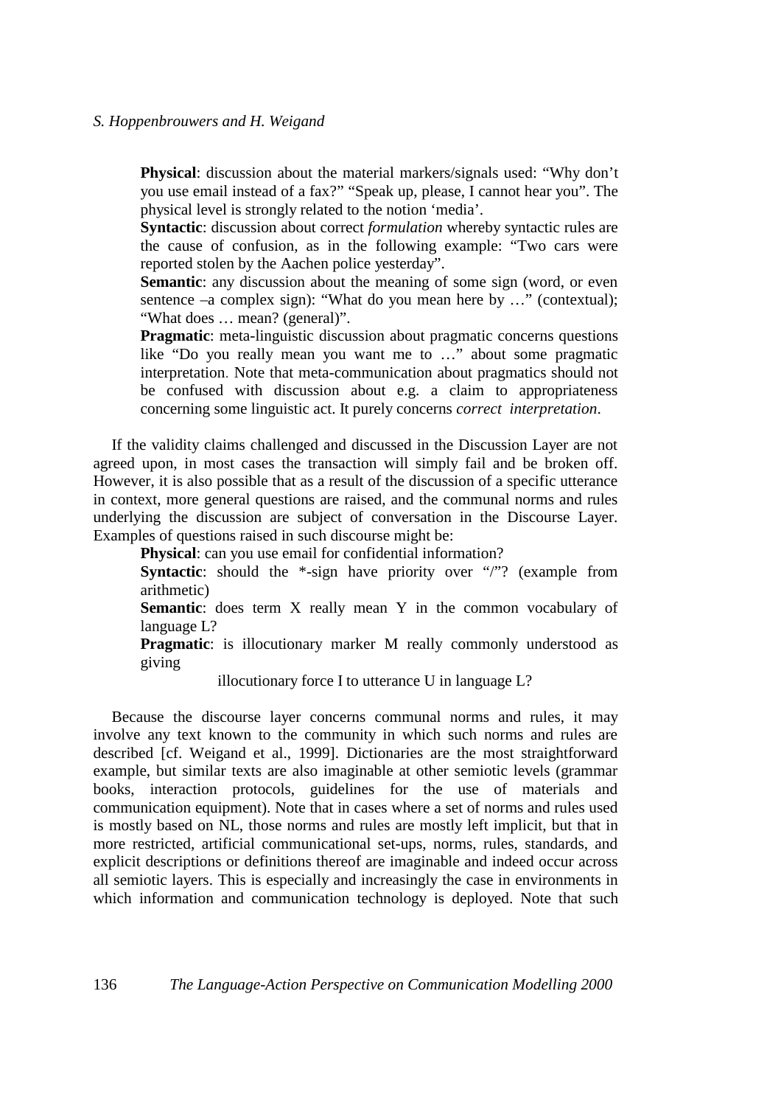**Physical**: discussion about the material markers/signals used: "Why don't you use email instead of a fax?" "Speak up, please, I cannot hear you". The physical level is strongly related to the notion 'media'.

**Syntactic**: discussion about correct *formulation* whereby syntactic rules are the cause of confusion, as in the following example: "Two cars were reported stolen by the Aachen police yesterday".

**Semantic**: any discussion about the meaning of some sign (word, or even sentence –a complex sign): "What do you mean here by ..." (contextual); "What does … mean? (general)".

**Pragmatic**: meta-linguistic discussion about pragmatic concerns questions like "Do you really mean you want me to …" about some pragmatic interpretation. Note that meta-communication about pragmatics should not be confused with discussion about e.g. a claim to appropriateness concerning some linguistic act. It purely concerns *correct interpretation*.

If the validity claims challenged and discussed in the Discussion Layer are not agreed upon, in most cases the transaction will simply fail and be broken off. However, it is also possible that as a result of the discussion of a specific utterance in context, more general questions are raised, and the communal norms and rules underlying the discussion are subject of conversation in the Discourse Layer. Examples of questions raised in such discourse might be:

**Physical**: can you use email for confidential information?

**Syntactic**: should the \*-sign have priority over "/"? (example from arithmetic)

**Semantic**: does term X really mean Y in the common vocabulary of language L?

**Pragmatic**: is illocutionary marker M really commonly understood as giving

illocutionary force I to utterance U in language L?

Because the discourse layer concerns communal norms and rules, it may involve any text known to the community in which such norms and rules are described [cf. Weigand et al., 1999]. Dictionaries are the most straightforward example, but similar texts are also imaginable at other semiotic levels (grammar books, interaction protocols, guidelines for the use of materials and communication equipment). Note that in cases where a set of norms and rules used is mostly based on NL, those norms and rules are mostly left implicit, but that in more restricted, artificial communicational set-ups, norms, rules, standards, and explicit descriptions or definitions thereof are imaginable and indeed occur across all semiotic layers. This is especially and increasingly the case in environments in which information and communication technology is deployed. Note that such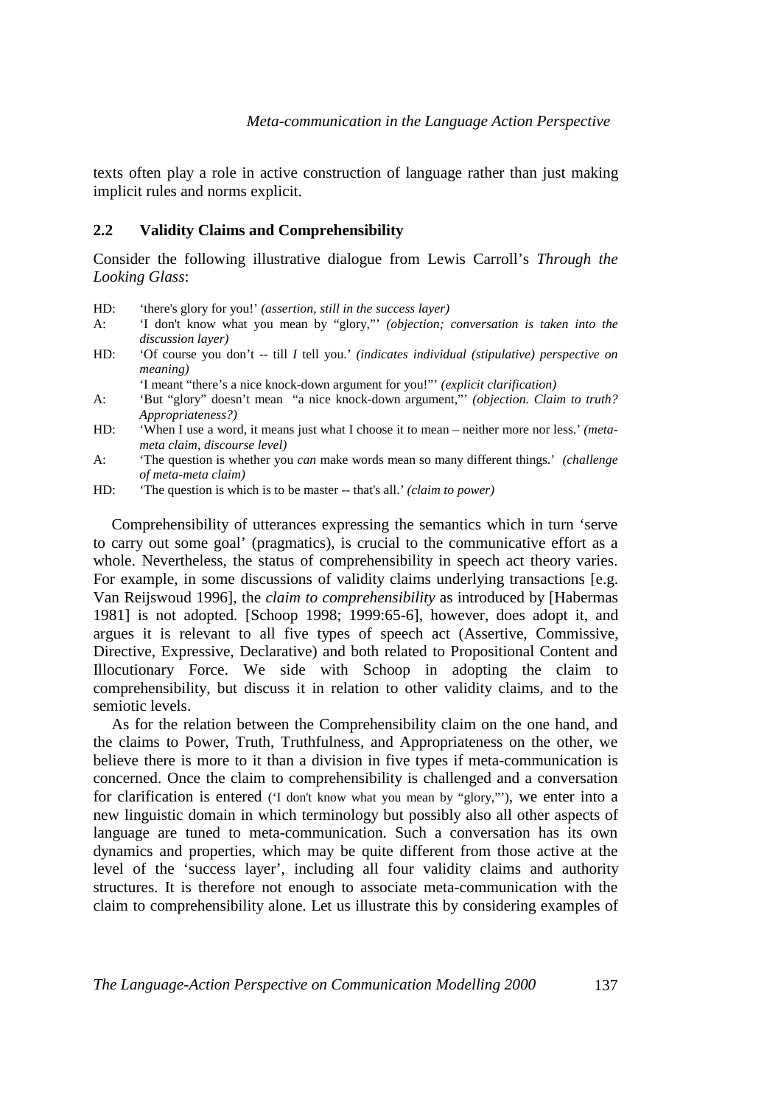texts often play a role in active construction of language rather than just making implicit rules and norms explicit.

## **2.2 Validity Claims and Comprehensibility**

Consider the following illustrative dialogue from Lewis Carroll's *Through the Looking Glass*:

- HD: 'there's glory for you!' *(assertion, still in the success layer)*
- A: 'I don't know what you mean by "glory,"' *(objection; conversation is taken into the discussion layer)*
- HD: 'Of course you don't -- till *I* tell you.' *(indicates individual (stipulative) perspective on meaning)*

'I meant "there's a nice knock-down argument for you!"' *(explicit clarification)*

- A: 'But "glory" doesn't mean "a nice knock-down argument,"' *(objection. Claim to truth? Appropriateness?)*
- HD: 'When I use a word, it means just what I choose it to mean neither more nor less.' *(metameta claim, discourse level)*
- A: 'The question is whether you *can* make words mean so many different things.' *(challenge of meta-meta claim)*
- HD: 'The question is which is to be master -- that's all.' *(claim to power)*

Comprehensibility of utterances expressing the semantics which in turn 'serve to carry out some goal' (pragmatics), is crucial to the communicative effort as a whole. Nevertheless, the status of comprehensibility in speech act theory varies. For example, in some discussions of validity claims underlying transactions [e.g. Van Reijswoud 1996], the *claim to comprehensibility* as introduced by [Habermas 1981] is not adopted. [Schoop 1998; 1999:65-6], however, does adopt it, and argues it is relevant to all five types of speech act (Assertive, Commissive, Directive, Expressive, Declarative) and both related to Propositional Content and Illocutionary Force. We side with Schoop in adopting the claim to comprehensibility, but discuss it in relation to other validity claims, and to the semiotic levels.

As for the relation between the Comprehensibility claim on the one hand, and the claims to Power, Truth, Truthfulness, and Appropriateness on the other, we believe there is more to it than a division in five types if meta-communication is concerned. Once the claim to comprehensibility is challenged and a conversation for clarification is entered ('I don't know what you mean by "glory,"'), we enter into a new linguistic domain in which terminology but possibly also all other aspects of language are tuned to meta-communication. Such a conversation has its own dynamics and properties, which may be quite different from those active at the level of the 'success layer', including all four validity claims and authority structures. It is therefore not enough to associate meta-communication with the claim to comprehensibility alone. Let us illustrate this by considering examples of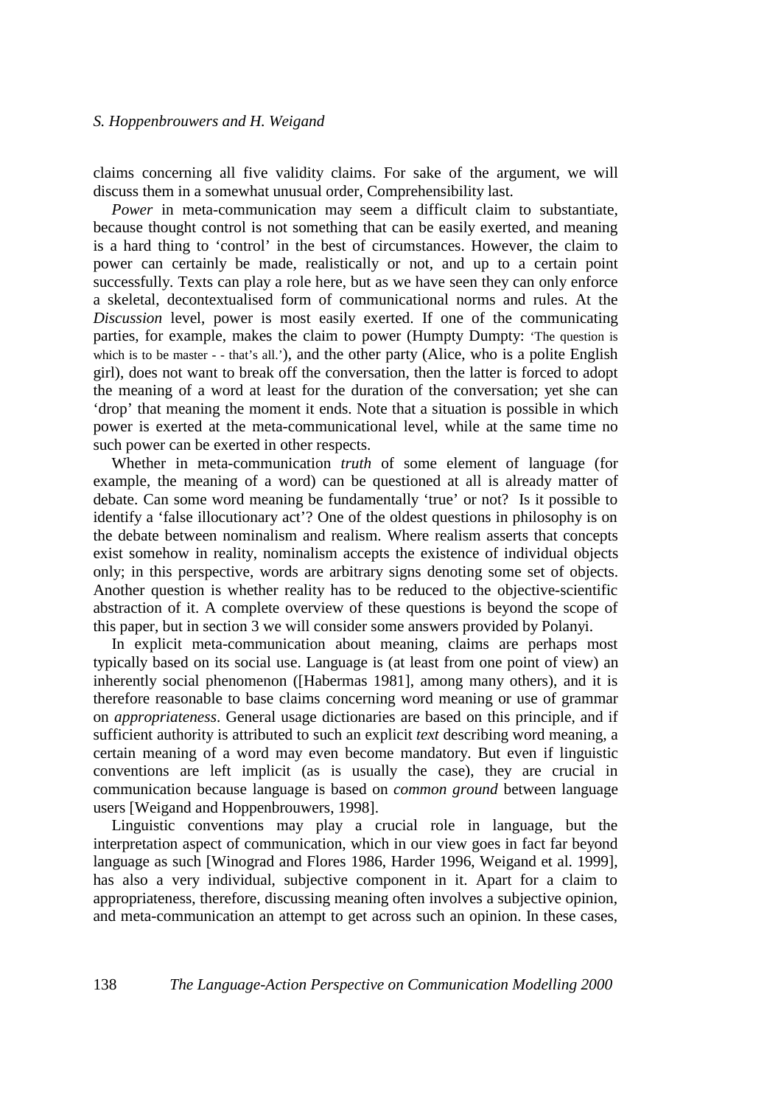claims concerning all five validity claims. For sake of the argument, we will discuss them in a somewhat unusual order, Comprehensibility last.

*Power* in meta-communication may seem a difficult claim to substantiate, because thought control is not something that can be easily exerted, and meaning is a hard thing to 'control' in the best of circumstances. However, the claim to power can certainly be made, realistically or not, and up to a certain point successfully. Texts can play a role here, but as we have seen they can only enforce a skeletal, decontextualised form of communicational norms and rules. At the *Discussion* level, power is most easily exerted. If one of the communicating parties, for example, makes the claim to power (Humpty Dumpty: 'The question is which is to be master - - that's all.'), and the other party (Alice, who is a polite English girl), does not want to break off the conversation, then the latter is forced to adopt the meaning of a word at least for the duration of the conversation; yet she can 'drop' that meaning the moment it ends. Note that a situation is possible in which power is exerted at the meta-communicational level, while at the same time no such power can be exerted in other respects.

Whether in meta-communication *truth* of some element of language (for example, the meaning of a word) can be questioned at all is already matter of debate. Can some word meaning be fundamentally 'true' or not? Is it possible to identify a 'false illocutionary act'? One of the oldest questions in philosophy is on the debate between nominalism and realism. Where realism asserts that concepts exist somehow in reality, nominalism accepts the existence of individual objects only; in this perspective, words are arbitrary signs denoting some set of objects. Another question is whether reality has to be reduced to the objective-scientific abstraction of it. A complete overview of these questions is beyond the scope of this paper, but in section 3 we will consider some answers provided by Polanyi.

In explicit meta-communication about meaning, claims are perhaps most typically based on its social use. Language is (at least from one point of view) an inherently social phenomenon ([Habermas 1981], among many others), and it is therefore reasonable to base claims concerning word meaning or use of grammar on *appropriateness*. General usage dictionaries are based on this principle, and if sufficient authority is attributed to such an explicit *text* describing word meaning, a certain meaning of a word may even become mandatory. But even if linguistic conventions are left implicit (as is usually the case), they are crucial in communication because language is based on *common ground* between language users [Weigand and Hoppenbrouwers, 1998].

Linguistic conventions may play a crucial role in language, but the interpretation aspect of communication, which in our view goes in fact far beyond language as such [Winograd and Flores 1986, Harder 1996, Weigand et al. 1999], has also a very individual, subjective component in it. Apart for a claim to appropriateness, therefore, discussing meaning often involves a subjective opinion, and meta-communication an attempt to get across such an opinion. In these cases,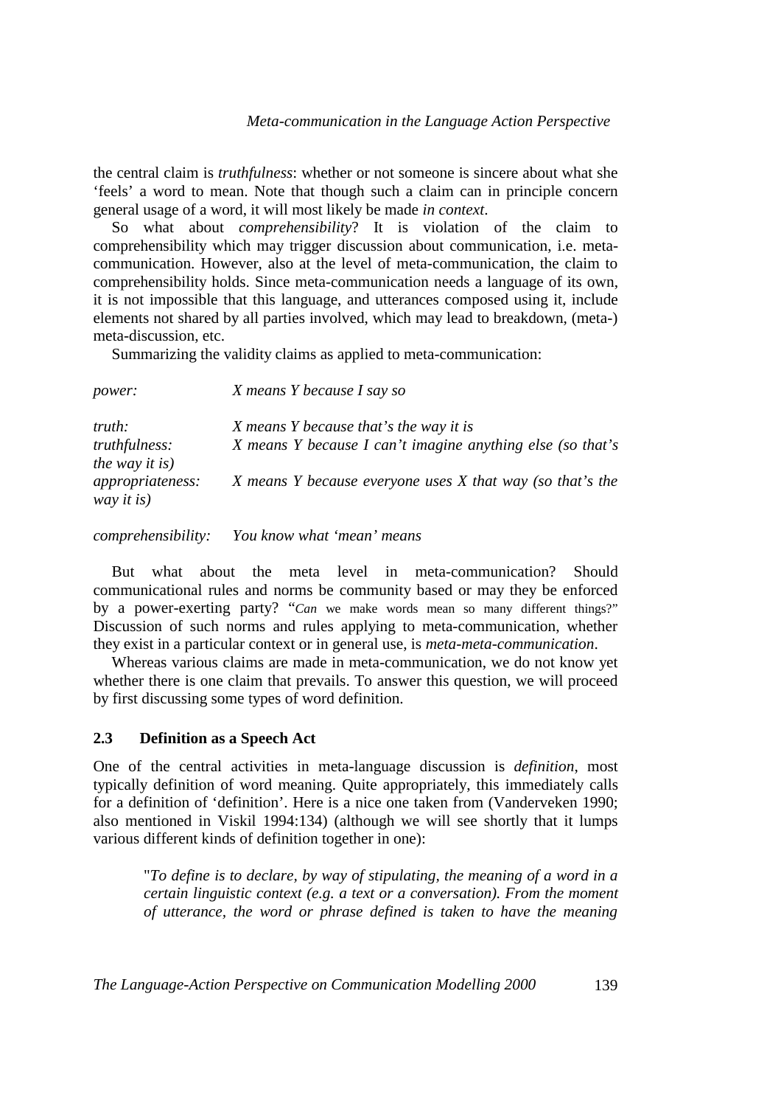the central claim is *truthfulness*: whether or not someone is sincere about what she 'feels' a word to mean. Note that though such a claim can in principle concern general usage of a word, it will most likely be made *in context*.

So what about *comprehensibility*? It is violation of the claim to comprehensibility which may trigger discussion about communication, i.e. metacommunication. However, also at the level of meta-communication, the claim to comprehensibility holds. Since meta-communication needs a language of its own, it is not impossible that this language, and utterances composed using it, include elements not shared by all parties involved, which may lead to breakdown, (meta-) meta-discussion, etc.

Summarizing the validity claims as applied to meta-communication:

| <i>power:</i>                          | X means Y because I say so                                 |  |  |
|----------------------------------------|------------------------------------------------------------|--|--|
| truth:                                 | X means Y because that's the way it is                     |  |  |
| <i>truthfulness:</i><br>the way it is) | X means Y because I can't imagine anything else (so that's |  |  |
| appropriateness:<br>way it is)         | X means Y because everyone uses X that way (so that's the  |  |  |

*comprehensibility: You know what 'mean' means* 

But what about the meta level in meta-communication? Should communicational rules and norms be community based or may they be enforced by a power-exerting party? "*Can* we make words mean so many different things?" Discussion of such norms and rules applying to meta-communication, whether they exist in a particular context or in general use, is *meta-meta-communication*.

Whereas various claims are made in meta-communication, we do not know yet whether there is one claim that prevails. To answer this question, we will proceed by first discussing some types of word definition.

## **2.3 Definition as a Speech Act**

One of the central activities in meta-language discussion is *definition*, most typically definition of word meaning. Quite appropriately, this immediately calls for a definition of 'definition'. Here is a nice one taken from (Vanderveken 1990; also mentioned in Viskil 1994:134) (although we will see shortly that it lumps various different kinds of definition together in one):

 "*To define is to declare, by way of stipulating, the meaning of a word in a certain linguistic context (e.g. a text or a conversation). From the moment of utterance, the word or phrase defined is taken to have the meaning*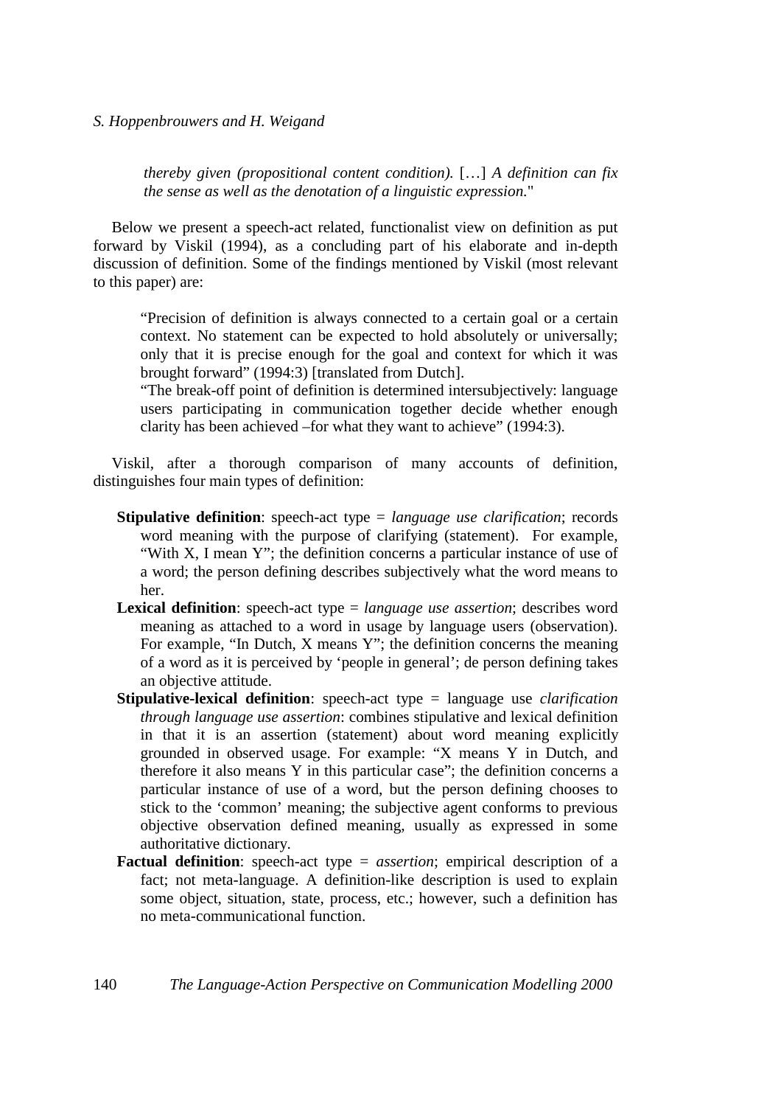*thereby given (propositional content condition).* […] *A definition can fix the sense as well as the denotation of a linguistic expression.*"

Below we present a speech-act related, functionalist view on definition as put forward by Viskil (1994), as a concluding part of his elaborate and in-depth discussion of definition. Some of the findings mentioned by Viskil (most relevant to this paper) are:

"Precision of definition is always connected to a certain goal or a certain context. No statement can be expected to hold absolutely or universally; only that it is precise enough for the goal and context for which it was brought forward" (1994:3) [translated from Dutch].

"The break-off point of definition is determined intersubjectively: language users participating in communication together decide whether enough clarity has been achieved –for what they want to achieve" (1994:3).

Viskil, after a thorough comparison of many accounts of definition, distinguishes four main types of definition:

- **Stipulative definition**: speech-act type = *language use clarification*; records word meaning with the purpose of clarifying (statement). For example, "With X, I mean Y"; the definition concerns a particular instance of use of a word; the person defining describes subjectively what the word means to her.
- **Lexical definition**: speech-act type = *language use assertion*; describes word meaning as attached to a word in usage by language users (observation). For example, "In Dutch, X means Y"; the definition concerns the meaning of a word as it is perceived by 'people in general'; de person defining takes an objective attitude.
- **Stipulative-lexical definition**: speech-act type = language use *clarification through language use assertion*: combines stipulative and lexical definition in that it is an assertion (statement) about word meaning explicitly grounded in observed usage. For example: "X means Y in Dutch, and therefore it also means Y in this particular case"; the definition concerns a particular instance of use of a word, but the person defining chooses to stick to the 'common' meaning; the subjective agent conforms to previous objective observation defined meaning, usually as expressed in some authoritative dictionary.
- **Factual definition**: speech-act type = *assertion*; empirical description of a fact; not meta-language. A definition-like description is used to explain some object, situation, state, process, etc.; however, such a definition has no meta-communicational function.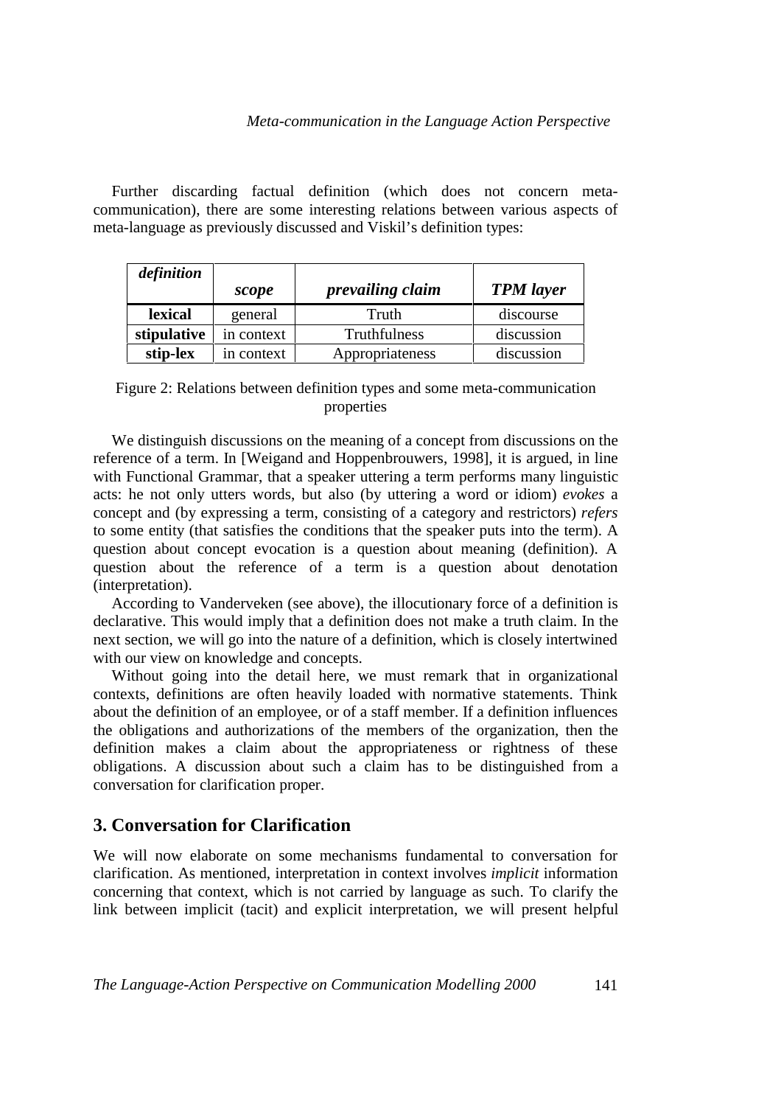## *Meta-communication in the Language Action Perspective*

Further discarding factual definition (which does not concern metacommunication), there are some interesting relations between various aspects of meta-language as previously discussed and Viskil's definition types:

| definition  |            |                         |                  |
|-------------|------------|-------------------------|------------------|
|             | scope      | <i>prevailing claim</i> | <b>TPM</b> layer |
| lexical     | general    | Truth                   | discourse        |
| stipulative | in context | Truthfulness            | discussion       |
| stip-lex    | in context | Appropriateness         | discussion       |

Figure 2: Relations between definition types and some meta-communication properties

We distinguish discussions on the meaning of a concept from discussions on the reference of a term. In [Weigand and Hoppenbrouwers, 1998], it is argued, in line with Functional Grammar, that a speaker uttering a term performs many linguistic acts: he not only utters words, but also (by uttering a word or idiom) *evokes* a concept and (by expressing a term, consisting of a category and restrictors) *refers* to some entity (that satisfies the conditions that the speaker puts into the term). A question about concept evocation is a question about meaning (definition). A question about the reference of a term is a question about denotation (interpretation).

According to Vanderveken (see above), the illocutionary force of a definition is declarative. This would imply that a definition does not make a truth claim. In the next section, we will go into the nature of a definition, which is closely intertwined with our view on knowledge and concepts.

Without going into the detail here, we must remark that in organizational contexts, definitions are often heavily loaded with normative statements. Think about the definition of an employee, or of a staff member. If a definition influences the obligations and authorizations of the members of the organization, then the definition makes a claim about the appropriateness or rightness of these obligations. A discussion about such a claim has to be distinguished from a conversation for clarification proper.

## **3. Conversation for Clarification**

We will now elaborate on some mechanisms fundamental to conversation for clarification. As mentioned, interpretation in context involves *implicit* information concerning that context, which is not carried by language as such. To clarify the link between implicit (tacit) and explicit interpretation, we will present helpful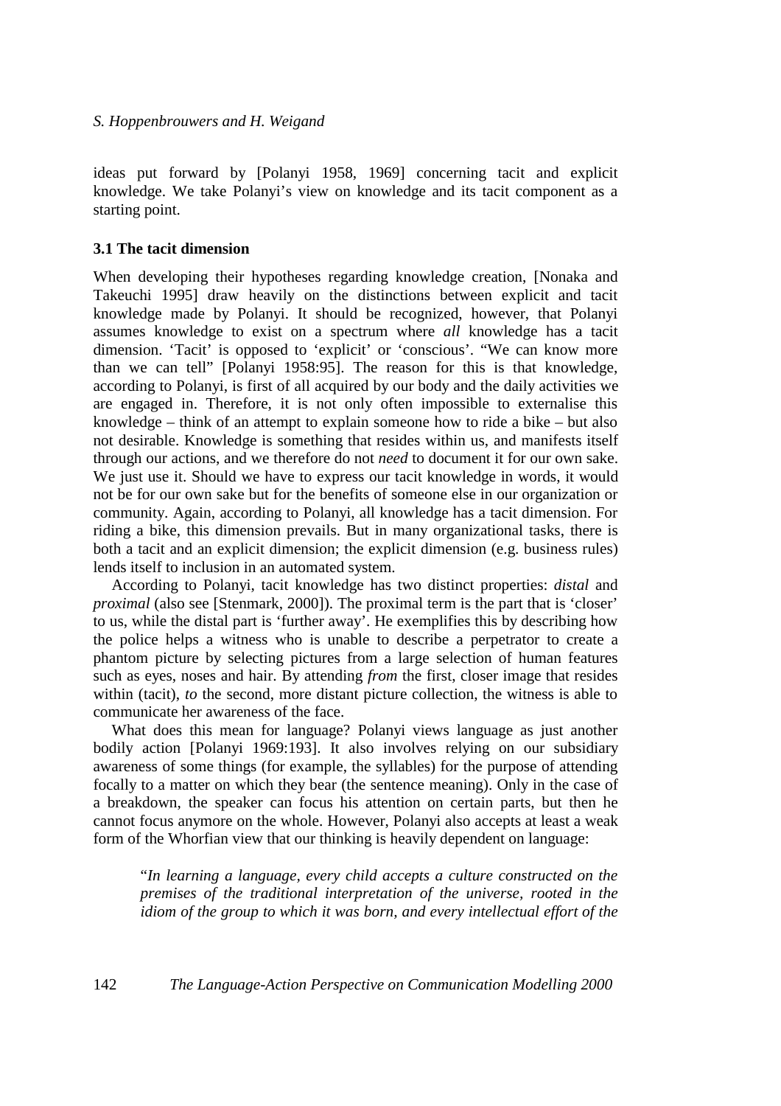ideas put forward by [Polanyi 1958, 1969] concerning tacit and explicit knowledge. We take Polanyi's view on knowledge and its tacit component as a starting point.

#### **3.1 The tacit dimension**

When developing their hypotheses regarding knowledge creation, [Nonaka and Takeuchi 1995] draw heavily on the distinctions between explicit and tacit knowledge made by Polanyi. It should be recognized, however, that Polanyi assumes knowledge to exist on a spectrum where *all* knowledge has a tacit dimension. 'Tacit' is opposed to 'explicit' or 'conscious'. "We can know more than we can tell" [Polanyi 1958:95]. The reason for this is that knowledge, according to Polanyi, is first of all acquired by our body and the daily activities we are engaged in. Therefore, it is not only often impossible to externalise this knowledge – think of an attempt to explain someone how to ride a bike – but also not desirable. Knowledge is something that resides within us, and manifests itself through our actions, and we therefore do not *need* to document it for our own sake. We just use it. Should we have to express our tacit knowledge in words, it would not be for our own sake but for the benefits of someone else in our organization or community. Again, according to Polanyi, all knowledge has a tacit dimension. For riding a bike, this dimension prevails. But in many organizational tasks, there is both a tacit and an explicit dimension; the explicit dimension (e.g. business rules) lends itself to inclusion in an automated system.

According to Polanyi, tacit knowledge has two distinct properties: *distal* and *proximal* (also see [Stenmark, 2000]). The proximal term is the part that is 'closer' to us, while the distal part is 'further away'. He exemplifies this by describing how the police helps a witness who is unable to describe a perpetrator to create a phantom picture by selecting pictures from a large selection of human features such as eyes, noses and hair. By attending *from* the first, closer image that resides within (tacit), *to* the second, more distant picture collection, the witness is able to communicate her awareness of the face.

What does this mean for language? Polanyi views language as just another bodily action [Polanyi 1969:193]. It also involves relying on our subsidiary awareness of some things (for example, the syllables) for the purpose of attending focally to a matter on which they bear (the sentence meaning). Only in the case of a breakdown, the speaker can focus his attention on certain parts, but then he cannot focus anymore on the whole. However, Polanyi also accepts at least a weak form of the Whorfian view that our thinking is heavily dependent on language:

"*In learning a language, every child accepts a culture constructed on the premises of the traditional interpretation of the universe, rooted in the idiom of the group to which it was born, and every intellectual effort of the*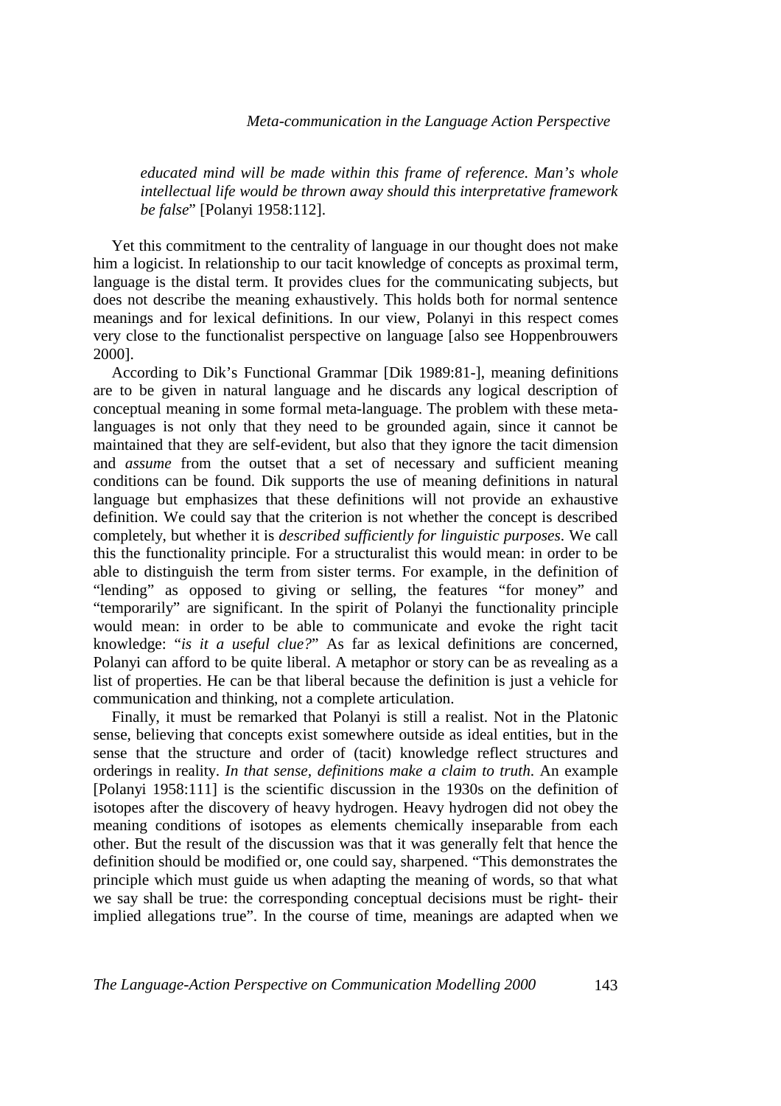### *Meta-communication in the Language Action Perspective*

*educated mind will be made within this frame of reference. Man's whole intellectual life would be thrown away should this interpretative framework be false*" [Polanyi 1958:112].

Yet this commitment to the centrality of language in our thought does not make him a logicist. In relationship to our tacit knowledge of concepts as proximal term, language is the distal term. It provides clues for the communicating subjects, but does not describe the meaning exhaustively. This holds both for normal sentence meanings and for lexical definitions. In our view, Polanyi in this respect comes very close to the functionalist perspective on language [also see Hoppenbrouwers 2000].

According to Dik's Functional Grammar [Dik 1989:81-], meaning definitions are to be given in natural language and he discards any logical description of conceptual meaning in some formal meta-language. The problem with these metalanguages is not only that they need to be grounded again, since it cannot be maintained that they are self-evident, but also that they ignore the tacit dimension and *assume* from the outset that a set of necessary and sufficient meaning conditions can be found. Dik supports the use of meaning definitions in natural language but emphasizes that these definitions will not provide an exhaustive definition. We could say that the criterion is not whether the concept is described completely, but whether it is *described sufficiently for linguistic purposes*. We call this the functionality principle. For a structuralist this would mean: in order to be able to distinguish the term from sister terms. For example, in the definition of "lending" as opposed to giving or selling, the features "for money" and "temporarily" are significant. In the spirit of Polanyi the functionality principle would mean: in order to be able to communicate and evoke the right tacit knowledge: "*is it a useful clue?*" As far as lexical definitions are concerned, Polanyi can afford to be quite liberal. A metaphor or story can be as revealing as a list of properties. He can be that liberal because the definition is just a vehicle for communication and thinking, not a complete articulation.

Finally, it must be remarked that Polanyi is still a realist. Not in the Platonic sense, believing that concepts exist somewhere outside as ideal entities, but in the sense that the structure and order of (tacit) knowledge reflect structures and orderings in reality. *In that sense, definitions make a claim to truth*. An example [Polanyi 1958:111] is the scientific discussion in the 1930s on the definition of isotopes after the discovery of heavy hydrogen. Heavy hydrogen did not obey the meaning conditions of isotopes as elements chemically inseparable from each other. But the result of the discussion was that it was generally felt that hence the definition should be modified or, one could say, sharpened. "This demonstrates the principle which must guide us when adapting the meaning of words, so that what we say shall be true: the corresponding conceptual decisions must be right- their implied allegations true". In the course of time, meanings are adapted when we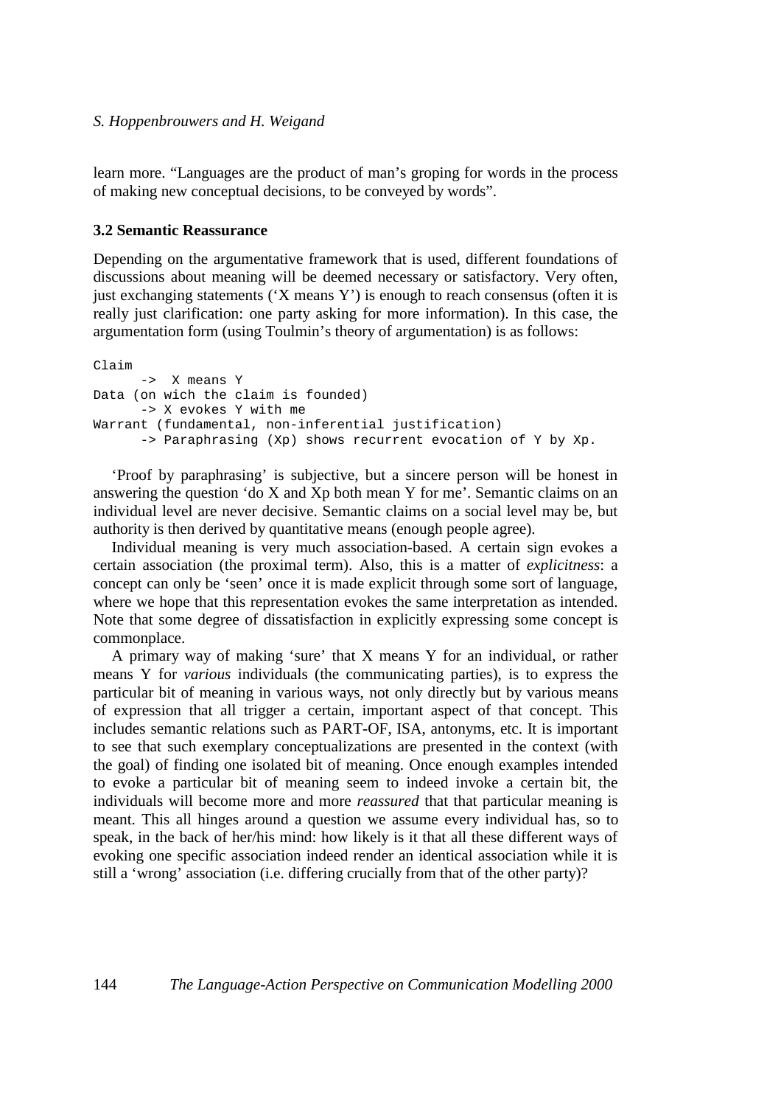learn more. "Languages are the product of man's groping for words in the process of making new conceptual decisions, to be conveyed by words".

### **3.2 Semantic Reassurance**

Depending on the argumentative framework that is used, different foundations of discussions about meaning will be deemed necessary or satisfactory. Very often, just exchanging statements ('X means Y') is enough to reach consensus (often it is really just clarification: one party asking for more information). In this case, the argumentation form (using Toulmin's theory of argumentation) is as follows:

```
Claim 
      -> X means Y 
Data (on wich the claim is founded) 
      -> X evokes Y with me 
Warrant (fundamental, non-inferential justification) 
      -> Paraphrasing (Xp) shows recurrent evocation of Y by Xp.
```
'Proof by paraphrasing' is subjective, but a sincere person will be honest in answering the question 'do  $X$  and  $Xp$  both mean Y for me'. Semantic claims on an individual level are never decisive. Semantic claims on a social level may be, but authority is then derived by quantitative means (enough people agree).

Individual meaning is very much association-based. A certain sign evokes a certain association (the proximal term). Also, this is a matter of *explicitness*: a concept can only be 'seen' once it is made explicit through some sort of language, where we hope that this representation evokes the same interpretation as intended. Note that some degree of dissatisfaction in explicitly expressing some concept is commonplace.

A primary way of making 'sure' that X means Y for an individual, or rather means Y for *various* individuals (the communicating parties), is to express the particular bit of meaning in various ways, not only directly but by various means of expression that all trigger a certain, important aspect of that concept. This includes semantic relations such as PART-OF, ISA, antonyms, etc. It is important to see that such exemplary conceptualizations are presented in the context (with the goal) of finding one isolated bit of meaning. Once enough examples intended to evoke a particular bit of meaning seem to indeed invoke a certain bit, the individuals will become more and more *reassured* that that particular meaning is meant. This all hinges around a question we assume every individual has, so to speak, in the back of her/his mind: how likely is it that all these different ways of evoking one specific association indeed render an identical association while it is still a 'wrong' association (i.e. differing crucially from that of the other party)?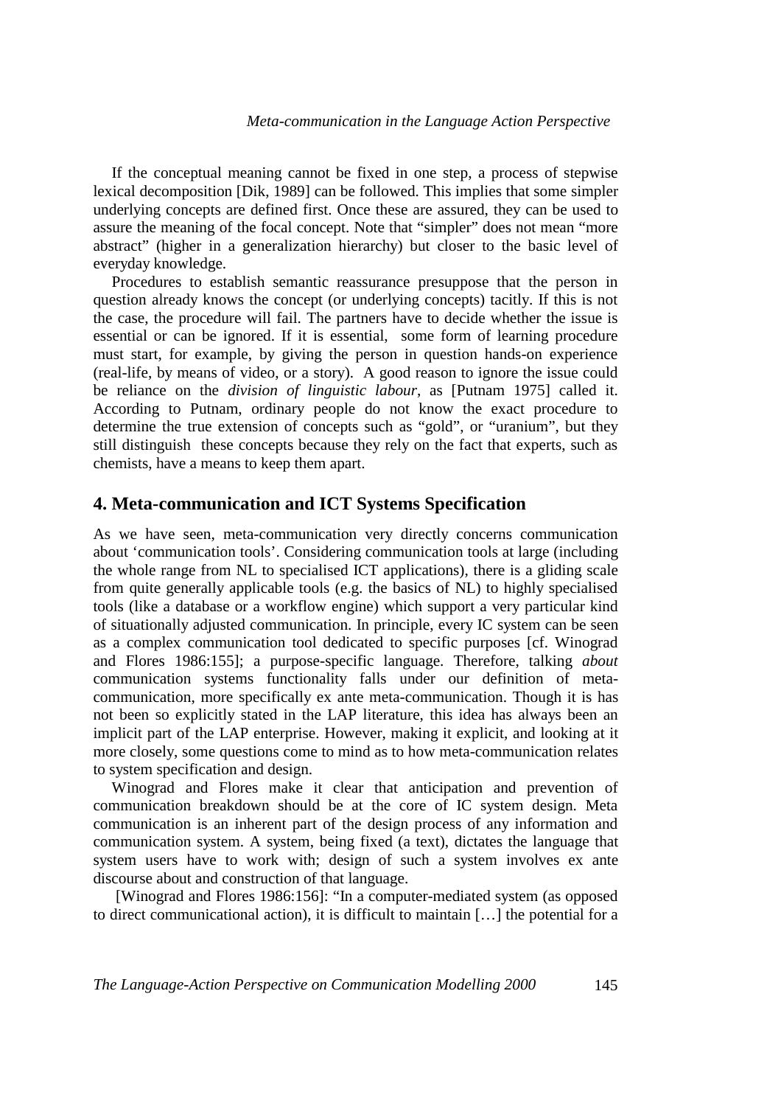If the conceptual meaning cannot be fixed in one step, a process of stepwise lexical decomposition [Dik, 1989] can be followed. This implies that some simpler underlying concepts are defined first. Once these are assured, they can be used to assure the meaning of the focal concept. Note that "simpler" does not mean "more abstract" (higher in a generalization hierarchy) but closer to the basic level of everyday knowledge.

Procedures to establish semantic reassurance presuppose that the person in question already knows the concept (or underlying concepts) tacitly. If this is not the case, the procedure will fail. The partners have to decide whether the issue is essential or can be ignored. If it is essential, some form of learning procedure must start, for example, by giving the person in question hands-on experience (real-life, by means of video, or a story). A good reason to ignore the issue could be reliance on the *division of linguistic labour*, as [Putnam 1975] called it. According to Putnam, ordinary people do not know the exact procedure to determine the true extension of concepts such as "gold", or "uranium", but they still distinguish these concepts because they rely on the fact that experts, such as chemists, have a means to keep them apart.

## **4. Meta-communication and ICT Systems Specification**

As we have seen, meta-communication very directly concerns communication about 'communication tools'. Considering communication tools at large (including the whole range from NL to specialised ICT applications), there is a gliding scale from quite generally applicable tools (e.g. the basics of NL) to highly specialised tools (like a database or a workflow engine) which support a very particular kind of situationally adjusted communication. In principle, every IC system can be seen as a complex communication tool dedicated to specific purposes [cf. Winograd and Flores 1986:155]; a purpose-specific language. Therefore, talking *about* communication systems functionality falls under our definition of metacommunication, more specifically ex ante meta-communication. Though it is has not been so explicitly stated in the LAP literature, this idea has always been an implicit part of the LAP enterprise. However, making it explicit, and looking at it more closely, some questions come to mind as to how meta-communication relates to system specification and design.

Winograd and Flores make it clear that anticipation and prevention of communication breakdown should be at the core of IC system design. Meta communication is an inherent part of the design process of any information and communication system. A system, being fixed (a text), dictates the language that system users have to work with; design of such a system involves ex ante discourse about and construction of that language.

 [Winograd and Flores 1986:156]: "In a computer-mediated system (as opposed to direct communicational action), it is difficult to maintain […] the potential for a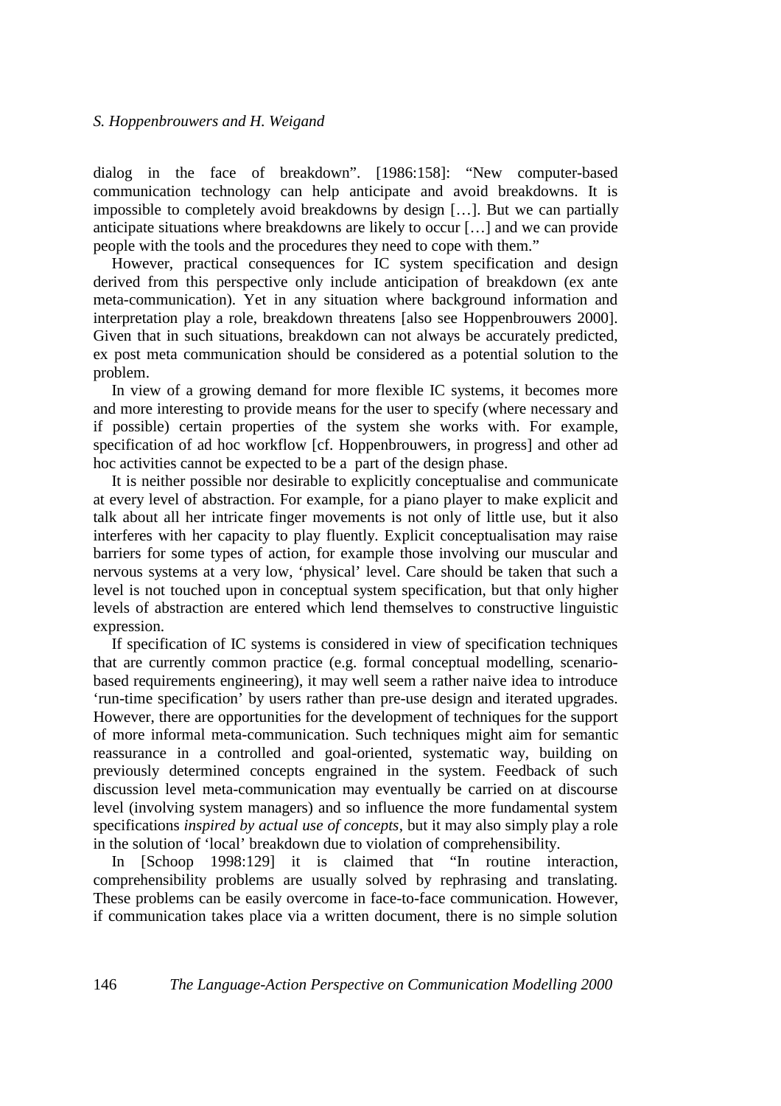dialog in the face of breakdown". [1986:158]: "New computer-based communication technology can help anticipate and avoid breakdowns. It is impossible to completely avoid breakdowns by design […]. But we can partially anticipate situations where breakdowns are likely to occur […] and we can provide people with the tools and the procedures they need to cope with them."

However, practical consequences for IC system specification and design derived from this perspective only include anticipation of breakdown (ex ante meta-communication). Yet in any situation where background information and interpretation play a role, breakdown threatens [also see Hoppenbrouwers 2000]. Given that in such situations, breakdown can not always be accurately predicted, ex post meta communication should be considered as a potential solution to the problem.

In view of a growing demand for more flexible IC systems, it becomes more and more interesting to provide means for the user to specify (where necessary and if possible) certain properties of the system she works with. For example, specification of ad hoc workflow [cf. Hoppenbrouwers, in progress] and other ad hoc activities cannot be expected to be a part of the design phase.

It is neither possible nor desirable to explicitly conceptualise and communicate at every level of abstraction. For example, for a piano player to make explicit and talk about all her intricate finger movements is not only of little use, but it also interferes with her capacity to play fluently. Explicit conceptualisation may raise barriers for some types of action, for example those involving our muscular and nervous systems at a very low, 'physical' level. Care should be taken that such a level is not touched upon in conceptual system specification, but that only higher levels of abstraction are entered which lend themselves to constructive linguistic expression.

If specification of IC systems is considered in view of specification techniques that are currently common practice (e.g. formal conceptual modelling, scenariobased requirements engineering), it may well seem a rather naive idea to introduce 'run-time specification' by users rather than pre-use design and iterated upgrades. However, there are opportunities for the development of techniques for the support of more informal meta-communication. Such techniques might aim for semantic reassurance in a controlled and goal-oriented, systematic way, building on previously determined concepts engrained in the system. Feedback of such discussion level meta-communication may eventually be carried on at discourse level (involving system managers) and so influence the more fundamental system specifications *inspired by actual use of concepts*, but it may also simply play a role in the solution of 'local' breakdown due to violation of comprehensibility.

In [Schoop 1998:129] it is claimed that "In routine interaction, comprehensibility problems are usually solved by rephrasing and translating. These problems can be easily overcome in face-to-face communication. However, if communication takes place via a written document, there is no simple solution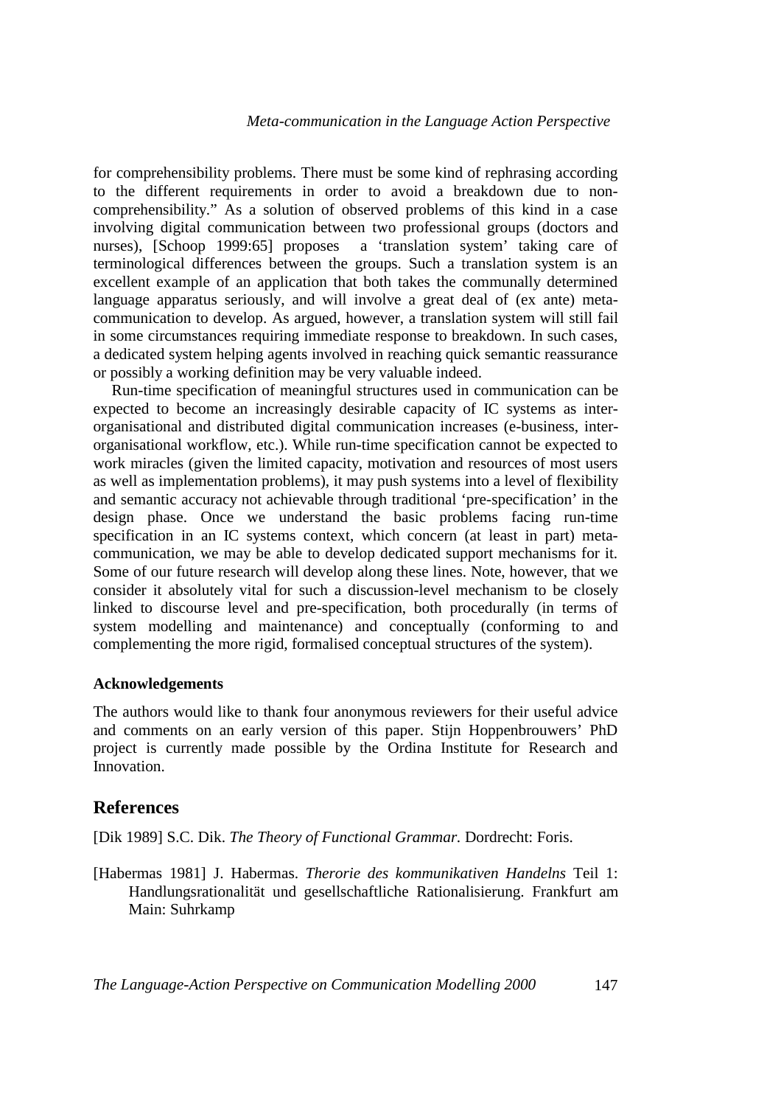for comprehensibility problems. There must be some kind of rephrasing according to the different requirements in order to avoid a breakdown due to noncomprehensibility." As a solution of observed problems of this kind in a case involving digital communication between two professional groups (doctors and nurses), [Schoop 1999:65] proposes a 'translation system' taking care of terminological differences between the groups. Such a translation system is an excellent example of an application that both takes the communally determined language apparatus seriously, and will involve a great deal of (ex ante) metacommunication to develop. As argued, however, a translation system will still fail in some circumstances requiring immediate response to breakdown. In such cases, a dedicated system helping agents involved in reaching quick semantic reassurance or possibly a working definition may be very valuable indeed.

Run-time specification of meaningful structures used in communication can be expected to become an increasingly desirable capacity of IC systems as interorganisational and distributed digital communication increases (e-business, interorganisational workflow, etc.). While run-time specification cannot be expected to work miracles (given the limited capacity, motivation and resources of most users as well as implementation problems), it may push systems into a level of flexibility and semantic accuracy not achievable through traditional 'pre-specification' in the design phase. Once we understand the basic problems facing run-time specification in an IC systems context, which concern (at least in part) metacommunication, we may be able to develop dedicated support mechanisms for it. Some of our future research will develop along these lines. Note, however, that we consider it absolutely vital for such a discussion-level mechanism to be closely linked to discourse level and pre-specification, both procedurally (in terms of system modelling and maintenance) and conceptually (conforming to and complementing the more rigid, formalised conceptual structures of the system).

#### **Acknowledgements**

The authors would like to thank four anonymous reviewers for their useful advice and comments on an early version of this paper. Stijn Hoppenbrouwers' PhD project is currently made possible by the Ordina Institute for Research and Innovation.

## **References**

[Dik 1989] S.C. Dik. *The Theory of Functional Grammar.* Dordrecht: Foris.

[Habermas 1981] J. Habermas. *Therorie des kommunikativen Handelns* Teil 1: Handlungsrationalität und gesellschaftliche Rationalisierung. Frankfurt am Main: Suhrkamp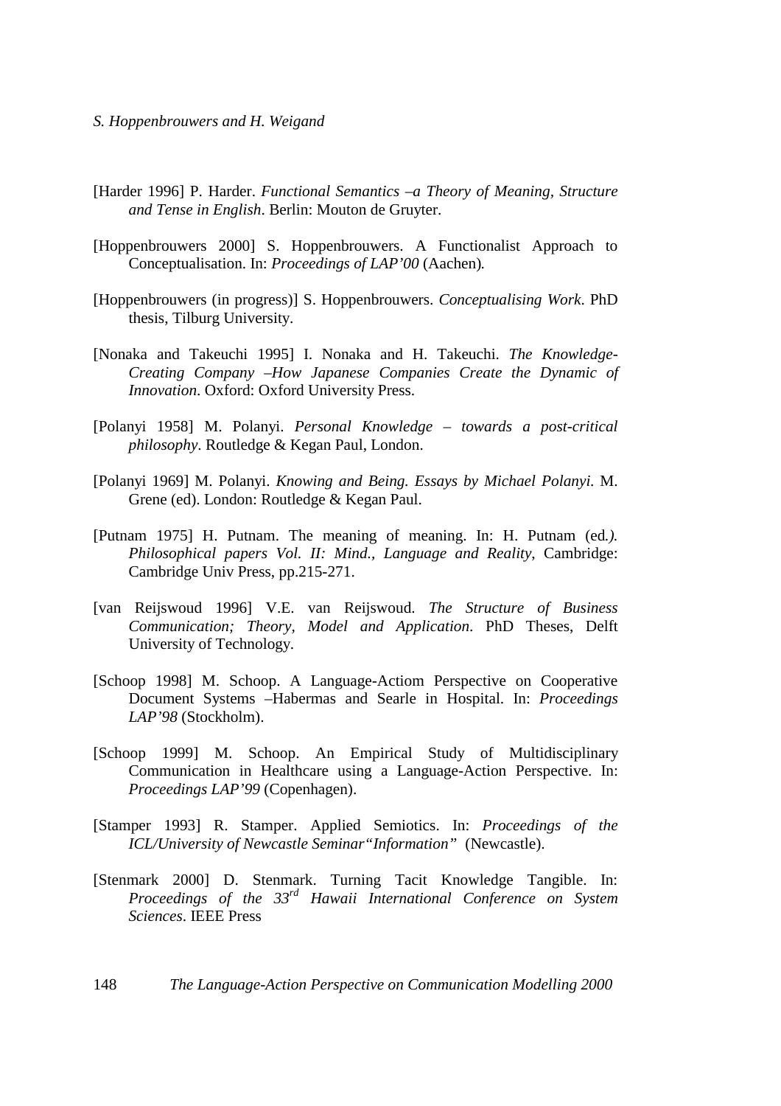- *S. Hoppenbrouwers and H. Weigand*
- [Harder 1996] P. Harder. *Functional Semantics –a Theory of Meaning, Structure and Tense in English*. Berlin: Mouton de Gruyter.
- [Hoppenbrouwers 2000] S. Hoppenbrouwers. A Functionalist Approach to Conceptualisation. In: *Proceedings of LAP'00* (Aachen)*.*
- [Hoppenbrouwers (in progress)] S. Hoppenbrouwers. *Conceptualising Work*. PhD thesis, Tilburg University.
- [Nonaka and Takeuchi 1995] I. Nonaka and H. Takeuchi. *The Knowledge-Creating Company –How Japanese Companies Create the Dynamic of Innovation*. Oxford: Oxford University Press.
- [Polanyi 1958] M. Polanyi. *Personal Knowledge towards a post-critical philosophy*. Routledge & Kegan Paul, London.
- [Polanyi 1969] M. Polanyi. *Knowing and Being. Essays by Michael Polanyi.* M. Grene (ed). London: Routledge & Kegan Paul.
- [Putnam 1975] H. Putnam. The meaning of meaning. In: H. Putnam (ed*.). Philosophical papers Vol. II: Mind., Language and Reality*, Cambridge: Cambridge Univ Press, pp.215-271.
- [van Reijswoud 1996] V.E. van Reijswoud. *The Structure of Business Communication; Theory, Model and Application*. PhD Theses, Delft University of Technology.
- [Schoop 1998] M. Schoop. A Language-Actiom Perspective on Cooperative Document Systems –Habermas and Searle in Hospital. In: *Proceedings LAP'98* (Stockholm).
- [Schoop 1999] M. Schoop. An Empirical Study of Multidisciplinary Communication in Healthcare using a Language-Action Perspective. In: *Proceedings LAP'99* (Copenhagen).
- [Stamper 1993] R. Stamper. Applied Semiotics. In: *Proceedings of the ICL/University of Newcastle Seminar"Information"* (Newcastle).
- [Stenmark 2000] D. Stenmark. Turning Tacit Knowledge Tangible. In: *Proceedings of the 33rd Hawaii International Conference on System Sciences*. IEEE Press